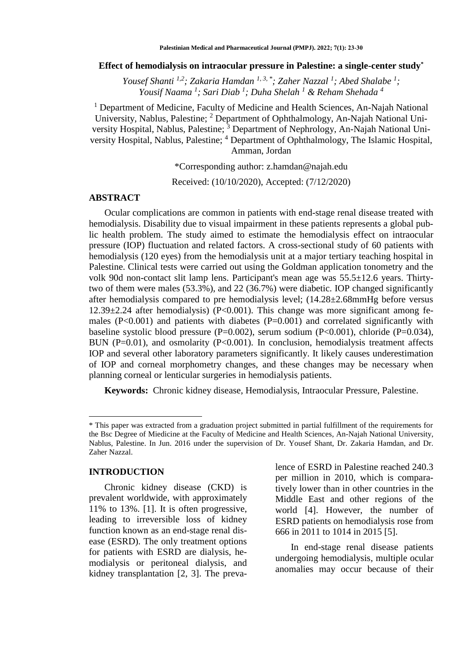#### **Effect of hemodialysis on intraocular pressure in Palestine: a single-center study\***

*Yousef Shanti 1,2; Zakaria Hamdan 1, 3, \*; Zaher Nazzal <sup>1</sup> ; Abed Shalabe <sup>1</sup> ; Yousif Naama <sup>1</sup> ; Sari Diab <sup>1</sup> ; Duha Shelah <sup>1</sup> & Reham Shehada <sup>4</sup>*

<sup>1</sup> Department of Medicine, Faculty of Medicine and Health Sciences, An-Najah National University, Nablus, Palestine; <sup>2</sup> Department of Ophthalmology, An-Najah National University Hospital, Nablus, Palestine; <sup>3</sup> Department of Nephrology, An-Najah National University Hospital, Nablus, Palestine; <sup>4</sup> Department of Ophthalmology, The Islamic Hospital, Amman, Jordan

\*Corresponding author: [z.hamdan@najah.edu](mailto:z.hamdan@najah.edu)

Received: (10/10/2020), Accepted: (7/12/2020)

### **ABSTRACT**

Ocular complications are common in patients with end-stage renal disease treated with hemodialysis. Disability due to visual impairment in these patients represents a global public health problem. The study aimed to estimate the hemodialysis effect on intraocular pressure (IOP) fluctuation and related factors. A cross-sectional study of 60 patients with hemodialysis (120 eyes) from the hemodialysis unit at a major tertiary teaching hospital in Palestine. Clinical tests were carried out using the Goldman application tonometry and the volk 90d non-contact slit lamp lens. Participant's mean age was 55.5±12.6 years. Thirtytwo of them were males (53.3%), and 22 (36.7%) were diabetic. IOP changed significantly after hemodialysis compared to pre hemodialysis level; (14.28±2.68mmHg before versus 12.39±2.24 after hemodialysis) (P<0.001). This change was more significant among females  $(P<0.001)$  and patients with diabetes  $(P=0.001)$  and correlated significantly with baseline systolic blood pressure  $(P=0.002)$ , serum sodium  $(P<0.001)$ , chloride  $(P=0.034)$ , BUN ( $P=0.01$ ), and osmolarity ( $P<0.001$ ). In conclusion, hemodialysis treatment affects IOP and several other laboratory parameters significantly. It likely causes underestimation of IOP and corneal morphometry changes, and these changes may be necessary when planning corneal or lenticular surgeries in hemodialysis patients.

**Keywords:** Chronic kidney disease, Hemodialysis, Intraocular Pressure, Palestine.

#### **INTRODUCTION**

 $\overline{a}$ 

Chronic kidney disease (CKD) is prevalent worldwide, with approximately 11% to 13%. [1]. It is often progressive, leading to irreversible loss of kidney function known as an end-stage renal disease (ESRD). The only treatment options for patients with ESRD are dialysis, hemodialysis or peritoneal dialysis, and kidney transplantation [2, 3]. The prevalence of ESRD in Palestine reached 240.3 per million in 2010, which is comparatively lower than in other countries in the Middle East and other regions of the world [4]. However, the number of ESRD patients on hemodialysis rose from 666 in 2011 to 1014 in 2015 [5].

In end-stage renal disease patients undergoing hemodialysis, multiple ocular anomalies may occur because of their

<sup>\*</sup> This paper was extracted from a graduation project submitted in partial fulfillment of the requirements for the Bsc Degree of Miedicine at the Faculty of Medicine and Health Sciences, An-Najah National University, Nablus, Palestine. In Jun. 2016 under the supervision of Dr. Yousef Shant, Dr. Zakaria Hamdan, and Dr. Zaher Nazzal.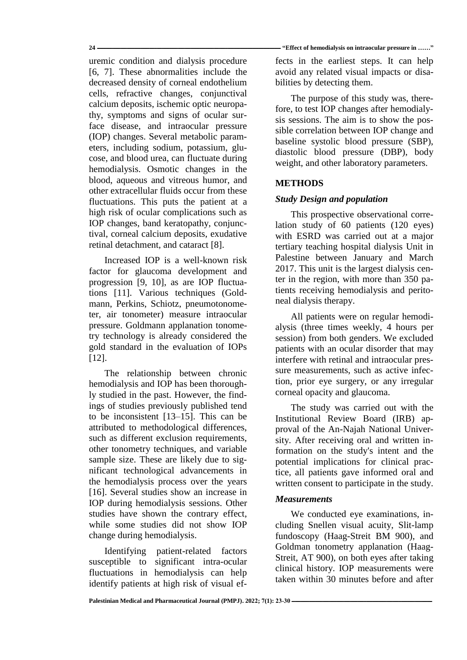uremic condition and dialysis procedure [6, 7]. These abnormalities include the decreased density of corneal endothelium cells, refractive changes, conjunctival calcium deposits, ischemic optic neuropathy, symptoms and signs of ocular surface disease, and intraocular pressure (IOP) changes. Several metabolic parameters, including sodium, potassium, glucose, and blood urea, can fluctuate during hemodialysis. Osmotic changes in the blood, aqueous and vitreous humor, and other extracellular fluids occur from these fluctuations. This puts the patient at a high risk of ocular complications such as IOP changes, band keratopathy, conjunctival, corneal calcium deposits, exudative retinal detachment, and cataract [8].

Increased IOP is a well-known risk factor for glaucoma development and progression [9, 10], as are IOP fluctuations [11]. Various techniques (Goldmann, Perkins, Schiotz, pneumotonometer, air tonometer) measure intraocular pressure. Goldmann applanation tonometry technology is already considered the gold standard in the evaluation of IOPs [12].

The relationship between chronic hemodialysis and IOP has been thoroughly studied in the past. However, the findings of studies previously published tend to be inconsistent [13–15]. This can be attributed to methodological differences, such as different exclusion requirements, other tonometry techniques, and variable sample size. These are likely due to significant technological advancements in the hemodialysis process over the years [16]. Several studies show an increase in IOP during hemodialysis sessions. Other studies have shown the contrary effect, while some studies did not show IOP change during hemodialysis.

Identifying patient-related factors susceptible to significant intra-ocular fluctuations in hemodialysis can help identify patients at high risk of visual ef-

**24 ــــــــــــــــــــــــــــــــــــــــــــــــــــــــــــــــــــــــــــــــــــــــــــــــــــــــــــــــــــــــــــــــــــــــــــــــــــ" Effect of hemodialysis on intraocular pressure in ……"**

fects in the earliest steps. It can help avoid any related visual impacts or disabilities by detecting them.

The purpose of this study was, therefore, to test IOP changes after hemodialysis sessions. The aim is to show the possible correlation between IOP change and baseline systolic blood pressure (SBP), diastolic blood pressure (DBP), body weight, and other laboratory parameters.

# **METHODS**

# *Study Design and population*

This prospective observational correlation study of 60 patients (120 eyes) with ESRD was carried out at a major tertiary teaching hospital dialysis Unit in Palestine between January and March 2017. This unit is the largest dialysis center in the region, with more than 350 patients receiving hemodialysis and peritoneal dialysis therapy.

All patients were on regular hemodialysis (three times weekly, 4 hours per session) from both genders. We excluded patients with an ocular disorder that may interfere with retinal and intraocular pressure measurements, such as active infection, prior eye surgery, or any irregular corneal opacity and glaucoma.

The study was carried out with the Institutional Review Board (IRB) approval of the An-Najah National University. After receiving oral and written information on the study's intent and the potential implications for clinical practice, all patients gave informed oral and written consent to participate in the study.

### *Measurements*

We conducted eye examinations, including Snellen visual acuity, Slit-lamp fundoscopy (Haag-Streit BM 900), and Goldman tonometry applanation (Haag-Streit, AT 900), on both eyes after taking clinical history. IOP measurements were taken within 30 minutes before and after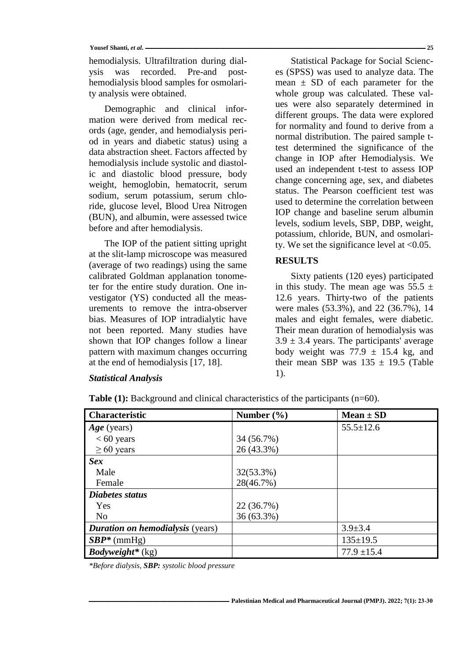#### **Yousef Shanti,** *et al***. ــــــــــــــــــــــــــــــــــــــــــــــــــــــــــــــــــــــــــــــــــــــــــــــــــــــــــــــــــــــــــــــــــــــــــــــــــــــــــــــــــــــــــــــــــــــــــــــــــــــــــــــــــــــــــــــــــ 25**

hemodialysis. Ultrafiltration during dialysis was recorded. Pre-and posthemodialysis blood samples for osmolarity analysis were obtained.

Demographic and clinical information were derived from medical records (age, gender, and hemodialysis period in years and diabetic status) using a data abstraction sheet. Factors affected by hemodialysis include systolic and diastolic and diastolic blood pressure, body weight, hemoglobin, hematocrit, serum sodium, serum potassium, serum chloride, glucose level, Blood Urea Nitrogen (BUN), and albumin, were assessed twice before and after hemodialysis.

The IOP of the patient sitting upright at the slit-lamp microscope was measured (average of two readings) using the same calibrated Goldman applanation tonometer for the entire study duration. One investigator (YS) conducted all the measurements to remove the intra-observer bias. Measures of IOP intradialytic have not been reported. Many studies have shown that IOP changes follow a linear pattern with maximum changes occurring at the end of hemodialysis [17, 18].

#### *Statistical Analysis*

Statistical Package for Social Sciences (SPSS) was used to analyze data. The mean  $\pm$  SD of each parameter for the whole group was calculated. These values were also separately determined in different groups. The data were explored for normality and found to derive from a normal distribution. The paired sample ttest determined the significance of the change in IOP after Hemodialysis. We used an independent t-test to assess IOP change concerning age, sex, and diabetes status. The Pearson coefficient test was used to determine the correlation between IOP change and baseline serum albumin levels, sodium levels, SBP, DBP, weight, potassium, chloride, BUN, and osmolarity. We set the significance level at <0.05.

### **RESULTS**

Sixty patients (120 eyes) participated in this study. The mean age was  $55.5 \pm$ 12.6 years. Thirty-two of the patients were males (53.3%), and 22 (36.7%), 14 males and eight females, were diabetic. Their mean duration of hemodialysis was  $3.9 \pm 3.4$  years. The participants' average body weight was  $77.9 \pm 15.4$  kg, and their mean SBP was  $135 \pm 19.5$  (Table 1).

| <b>Characteristic</b>                   | Number $(\% )$ | $Mean \pm SD$   |
|-----------------------------------------|----------------|-----------------|
| $Age$ (years)                           |                | $55.5 \pm 12.6$ |
| $< 60$ years                            | 34 (56.7%)     |                 |
| $\geq 60$ years                         | 26 (43.3%)     |                 |
| <b>Sex</b>                              |                |                 |
| Male                                    | 32(53.3%)      |                 |
| Female                                  | 28(46.7%)      |                 |
| Diabetes status                         |                |                 |
| Yes                                     | 22 (36.7%)     |                 |
| N <sub>0</sub>                          | 36 (63.3%)     |                 |
| <b>Duration on hemodialysis</b> (years) |                | $3.9 \pm 3.4$   |
| $SBP*$ (mmHg)                           |                | $135 \pm 19.5$  |
| <b>Bodyweight*</b> (kg)                 |                | $77.9 \pm 15.4$ |

**Table** (1): Background and clinical characteristics of the participants (n=60).

*\*Before dialysis, SBP: systolic blood pressure*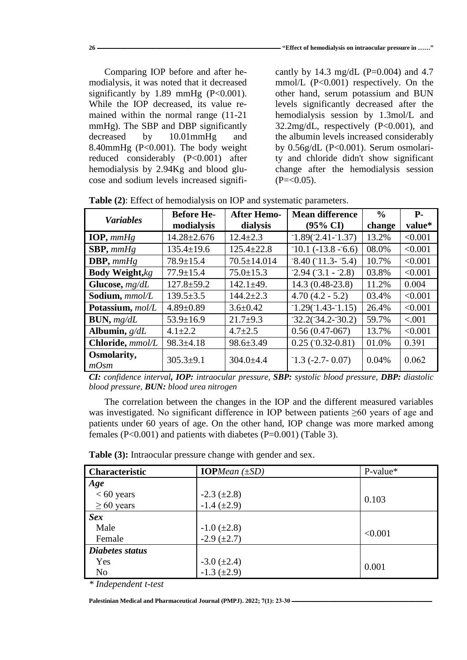Comparing IOP before and after hemodialysis, it was noted that it decreased significantly by  $1.89 \text{ mmHg}$  (P<0.001). While the IOP decreased, its value remained within the normal range (11-21 mmHg). The SBP and DBP significantly decreased by 10.01mmHg and 8.40mmHg (P<0.001). The body weight reduced considerably (P<0.001) after hemodialysis by 2.94Kg and blood glucose and sodium levels increased signifi-

cantly by 14.3 mg/dL (P=0.004) and 4.7 mmol/L (P<0.001) respectively. On the other hand, serum potassium and BUN levels significantly decreased after the hemodialysis session by 1.3mol/L and 32.2mg/dL, respectively (P<0.001), and the albumin levels increased considerably by 0.56g/dL (P<0.001). Serum osmolarity and chloride didn't show significant change after the hemodialysis session  $(P=<0.05)$ .

|                        | <b>Before He-</b> | <b>After Hemo-</b> | <b>Mean difference</b>   | $\frac{6}{9}$ | <b>P</b> - |
|------------------------|-------------------|--------------------|--------------------------|---------------|------------|
| <b>Variables</b>       | modialysis        | dialysis           | $(95\% \text{ CI})$      | change        | value*     |
| IOP, $mmHg$            | $14.28 \pm 2.676$ | $12.4 \pm 2.3$     | $-1.89(-2.41-1.37)$      | 13.2%         | < 0.001    |
| $SBP, \text{mmHg}$     | $135.4 \pm 19.6$  | $125.4 \pm 22.8$   | $-10.1(-13.8 - 6.6)$     | 08.0%         | < 0.001    |
| DBP, $mmHg$            | $78.9 \pm 15.4$   | $70.5 \pm 14.014$  | $-8.40(-11.3 - 5.4)$     | 10.7%         | < 0.001    |
| <b>Body Weight, kg</b> | $77.9 \pm 15.4$   | $75.0 \pm 15.3$    | $-2.94(-3.1 - 2.8)$      | 03.8%         | < 0.001    |
| Glucose, $mg/dL$       | $127.8 \pm 59.2$  | $142.1 \pm 49.$    | 14.3 (0.48-23.8)         | 11.2%         | 0.004      |
| Sodium, mmol/L         | $139.5 \pm 3.5$   | $144.2 \pm 2.3$    | $4.70(4.2 - 5.2)$        | 03.4%         | < 0.001    |
| Potassium, mol/L       | $4.89 \pm 0.89$   | $3.6 \pm 0.42$     | $-1.29(-1.43-1.15)$      | 26.4%         | < 0.001    |
| BUN, mg/dL             | $53.9 \pm 16.9$   | $21.7+9.3$         | $-32.2(-34.2-30.2)$      | 59.7%         | < .001     |
| Albumin, $g/dL$        | $4.1 \pm 2.2$     | $4.7 \pm 2.5$      | $0.56(0.47-067)$         | 13.7%         | < 0.001    |
| Chloride, mmol/L       | $98.3 \pm 4.18$   | $98.6 \pm 3.49$    | $0.25(0.32-0.81)$        | 01.0%         | 0.391      |
| Osmolarity,<br>$mO$ sm | $305.3+9.1$       | $304.0 \pm 4.4$    | $-1.3$ ( $-2.7 - 0.07$ ) | 0.04%         | 0.062      |

**Table (2)**: Effect of hemodialysis on IOP and systematic parameters.

*CI: confidence interval, IOP: intraocular pressure, SBP: systolic blood pressure, DBP: diastolic blood pressure, BUN: blood urea nitrogen*

The correlation between the changes in the IOP and the different measured variables was investigated. No significant difference in IOP between patients ≥60 years of age and patients under 60 years of age. On the other hand, IOP change was more marked among females (P<0.001) and patients with diabetes (P=0.001) (Table 3).

| <b>Characteristic</b> | <b>IOP</b> Mean $(\pm SD)$ | P-value* |
|-----------------------|----------------------------|----------|
| Age                   |                            |          |
| $< 60$ years          | $-2.3 (\pm 2.8)$           | 0.103    |
| $\geq 60$ years       | $-1.4 (\pm 2.9)$           |          |
| <b>Sex</b>            |                            |          |
| Male                  | $-1.0$ ( $\pm 2.8$ )       | < 0.001  |
| Female                | $-2.9$ ( $\pm 2.7$ )       |          |
| Diabetes status       |                            |          |
| Yes                   | $-3.0$ ( $\pm 2.4$ )       |          |
| N <sub>o</sub>        | $-1.3 (\pm 2.9)$           | 0.001    |

**Table (3):** Intraocular pressure change with gender and sex.

*\* Independent t-test*

[Palestinian Medical and Pharmaceutical Journal \(PMPJ\).](https://journals.najah.edu/journal/pmpj/browse-by-issue/)  $2022$ ;  $7(1)$ :  $23-30$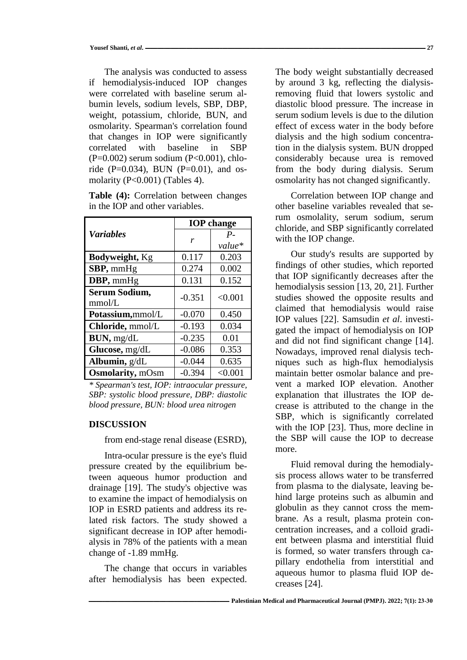The analysis was conducted to assess if hemodialysis-induced IOP changes were correlated with baseline serum albumin levels, sodium levels, SBP, DBP, weight, potassium, chloride, BUN, and osmolarity. Spearman's correlation found that changes in IOP were significantly correlated with baseline in SBP (P=0.002) serum sodium (P<0.001), chloride (P=0.034), BUN (P=0.01), and osmolarity (P<0.001) (Tables 4).

| <b>Table (4):</b> Correlation between changes |  |
|-----------------------------------------------|--|
| in the IOP and other variables.               |  |

|                          | <b>IOP</b> change |         |  |
|--------------------------|-------------------|---------|--|
| <b>Variables</b>         | r                 | $P_{-}$ |  |
|                          |                   | value*  |  |
| <b>Bodyweight</b> , Kg   | 0.117             | 0.203   |  |
| SBP, mmHg                | 0.274             | 0.002   |  |
| DBP, mmHg                | 0.131             | 0.152   |  |
| Serum Sodium,            | $-0.351$          | < 0.001 |  |
| mmol/L                   |                   |         |  |
| Potassium,mmol/L         | $-0.070$          | 0.450   |  |
| Chloride, mmol/L         | $-0.193$          | 0.034   |  |
| BUN, mg/dL               | $-0.235$          | 0.01    |  |
| Glucose, mg/dL           | $-0.086$          | 0.353   |  |
| Albumin, g/dL            | $-0.044$          | 0.635   |  |
| <b>Osmolarity</b> , mOsm | $-0.394$          | < 0.001 |  |

*\* Spearman's test, IOP: intraocular pressure, SBP: systolic blood pressure, DBP: diastolic blood pressure, BUN: blood urea nitrogen*

### **DISCUSSION**

from end-stage renal disease (ESRD),

Intra-ocular pressure is the eye's fluid pressure created by the equilibrium between aqueous humor production and drainage [19]. The study's objective was to examine the impact of hemodialysis on IOP in ESRD patients and address its related risk factors. The study showed a significant decrease in IOP after hemodialysis in 78% of the patients with a mean change of -1.89 mmHg.

The change that occurs in variables after hemodialysis has been expected. The body weight substantially decreased by around 3 kg, reflecting the dialysisremoving fluid that lowers systolic and diastolic blood pressure. The increase in serum sodium levels is due to the dilution effect of excess water in the body before dialysis and the high sodium concentration in the dialysis system. BUN dropped considerably because urea is removed from the body during dialysis. Serum osmolarity has not changed significantly.

Correlation between IOP change and other baseline variables revealed that serum osmolality, serum sodium, serum chloride, and SBP significantly correlated with the IOP change.

Our study's results are supported by findings of other studies, which reported that IOP significantly decreases after the hemodialysis session [13, 20, 21]. Further studies showed the opposite results and claimed that hemodialysis would raise IOP values [22]. Samsudin *et al*. investigated the impact of hemodialysis on IOP and did not find significant change [14]. Nowadays, improved renal dialysis techniques such as high-flux hemodialysis maintain better osmolar balance and prevent a marked IOP elevation. Another explanation that illustrates the IOP decrease is attributed to the change in the SBP, which is significantly correlated with the IOP [23]. Thus, more decline in the SBP will cause the IOP to decrease more.

Fluid removal during the hemodialysis process allows water to be transferred from plasma to the dialysate, leaving behind large proteins such as albumin and globulin as they cannot cross the membrane. As a result, plasma protein concentration increases, and a colloid gradient between plasma and interstitial fluid is formed, so water transfers through capillary endothelia from interstitial and aqueous humor to plasma fluid IOP decreases [24].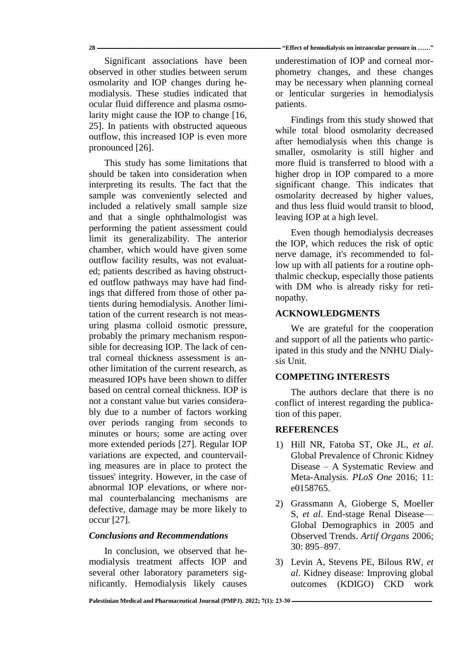Significant associations have been observed in other studies between serum osmolarity and IOP changes during hemodialysis. These studies indicated that ocular fluid difference and plasma osmolarity might cause the IOP to change [16, 25]. In patients with obstructed aqueous outflow, this increased IOP is even more pronounced [26].

This study has some limitations that should be taken into consideration when interpreting its results. The fact that the sample was conveniently selected and included a relatively small sample size and that a single ophthalmologist was performing the patient assessment could limit its generalizability. The anterior chamber, which would have given some outflow facility results, was not evaluated; patients described as having obstructed outflow pathways may have had findings that differed from those of other patients during hemodialysis. Another limitation of the current research is not measuring plasma colloid osmotic pressure, probably the primary mechanism responsible for decreasing IOP. The lack of central corneal thickness assessment is another limitation of the current research, as measured IOPs have been shown to differ based on central corneal thickness. IOP is not a constant value but varies considerably due to a number of factors working over periods ranging from seconds to minutes or hours; some are acting over more extended periods [27]. Regular IOP variations are expected, and countervailing measures are in place to protect the tissues' integrity. However, in the case of abnormal IOP elevations, or where normal counterbalancing mechanisms are defective, damage may be more likely to occur [27].

# *Conclusions and Recommendations*

In conclusion, we observed that hemodialysis treatment affects IOP and several other laboratory parameters significantly. Hemodialysis likely causes

**28 ــــــــــــــــــــــــــــــــــــــــــــــــــــــــــــــــــــــــــــــــــــــــــــــــــــــــــــــــــــــــــــــــــــــــــــــــــــ" Effect of hemodialysis on intraocular pressure in ……"**

underestimation of IOP and corneal morphometry changes, and these changes may be necessary when planning corneal or lenticular surgeries in hemodialysis patients.

Findings from this study showed that while total blood osmolarity decreased after hemodialysis when this change is smaller, osmolarity is still higher and more fluid is transferred to blood with a higher drop in IOP compared to a more significant change. This indicates that osmolarity decreased by higher values, and thus less fluid would transit to blood, leaving IOP at a high level.

Even though hemodialysis decreases the IOP, which reduces the risk of optic nerve damage, it's recommended to follow up with all patients for a routine ophthalmic checkup, especially those patients with DM who is already risky for retinopathy.

# **ACKNOWLEDGMENTS**

We are grateful for the cooperation and support of all the patients who participated in this study and the NNHU Dialysis Unit.

# **COMPETING INTERESTS**

The authors declare that there is no conflict of interest regarding the publication of this paper.

### **REFERENCES**

- 1) Hill NR, Fatoba ST, Oke JL, *et al*. Global Prevalence of Chronic Kidney Disease – A Systematic Review and Meta-Analysis. *PLoS One* 2016; 11: e0158765.
- 2) Grassmann A, Gioberge S, Moeller S, *et al*. End-stage Renal Disease— Global Demographics in 2005 and Observed Trends. *Artif Organs* 2006; 30: 895–897.
- 3) Levin A, Stevens PE, Bilous RW, *et al*. Kidney disease: Improving global outcomes (KDIGO) CKD work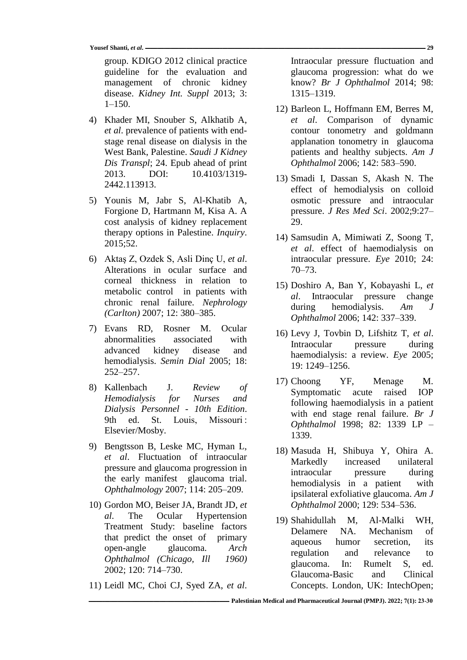group. KDIGO 2012 clinical practice guideline for the evaluation and management of chronic kidney disease. *Kidney Int. Suppl* 2013; 3: 1–150.

- 4) Khader MI, Snouber S, Alkhatib A, *et al*. prevalence of patients with endstage renal disease on dialysis in the West Bank, Palestine. *Saudi J Kidney Dis Transpl*; 24. Epub ahead of print 2013. DOI: 10.4103/1319- 2442.113913.
- 5) Younis M, Jabr S, Al-Khatib A, Forgione D, Hartmann M, Kisa A. A cost analysis of kidney replacement therapy options in Palestine. *Inquiry*. 2015;52.
- 6) Aktaş Z, Ozdek S, Asli Dinç U, *et al*. Alterations in ocular surface and corneal thickness in relation to metabolic control in patients with chronic renal failure. *Nephrology (Carlton)* 2007; 12: 380–385.
- 7) Evans RD, Rosner M. Ocular abnormalities associated with advanced kidney disease and hemodialysis. *Semin Dial* 2005; 18: 252–257.
- 8) Kallenbach J. *Review of Hemodialysis for Nurses and Dialysis Personnel - 10th Edition*. 9th ed. St. Louis, Missouri : Elsevier/Mosby.
- 9) Bengtsson B, Leske MC, Hyman L, *et al*. Fluctuation of intraocular pressure and glaucoma progression in the early manifest glaucoma trial. *Ophthalmology* 2007; 114: 205–209.
- 10) Gordon MO, Beiser JA, Brandt JD, *et al*. The Ocular Hypertension Treatment Study: baseline factors that predict the onset of primary open-angle glaucoma. *Arch Ophthalmol (Chicago, Ill 1960)* 2002; 120: 714–730.
- 11) Leidl MC, Choi CJ, Syed ZA, *et al*.

Intraocular pressure fluctuation and glaucoma progression: what do we know? *Br J Ophthalmol* 2014; 98: 1315–1319.

- 12) Barleon L, Hoffmann EM, Berres M, *et al*. Comparison of dynamic contour tonometry and goldmann applanation tonometry in glaucoma patients and healthy subjects. *Am J Ophthalmol* 2006; 142: 583–590.
- 13) Smadi I, Dassan S, Akash N. The effect of hemodialysis on colloid osmotic pressure and intraocular pressure. *J Res Med Sci*. 2002;9:27– 29.
- 14) Samsudin A, Mimiwati Z, Soong T, *et al*. effect of haemodialysis on intraocular pressure. *Eye* 2010; 24: 70–73.
- 15) Doshiro A, Ban Y, Kobayashi L, *et al*. Intraocular pressure change during hemodialysis. *Am J Ophthalmol* 2006; 142: 337–339.
- 16) Levy J, Tovbin D, Lifshitz T, *et al*. Intraocular pressure during haemodialysis: a review. *Eye* 2005; 19: 1249–1256.
- 17) Choong YF, Menage M. Symptomatic acute raised IOP following haemodialysis in a patient with end stage renal failure. *Br J Ophthalmol* 1998; 82: 1339 LP – 1339.
- 18) Masuda H, Shibuya Y, Ohira A. Markedly increased unilateral intraocular pressure during hemodialysis in a patient with ipsilateral exfoliative glaucoma. *Am J Ophthalmol* 2000; 129: 534–536.
- 19) Shahidullah M, Al-Malki WH, Delamere NA. Mechanism of aqueous humor secretion, its regulation and relevance to glaucoma. In: Rumelt S, ed. Glaucoma-Basic and Clinical Concepts. London, UK: IntechOpen;

**ـــــــــــــــــــــــــــــــــــــــــــــــــــــــــــــــــــــــــــــــــــــــــــــــــــــــــــــــــ [Palestinian Medical and Pharmaceutical Journal \(PMPJ\).](https://journals.najah.edu/journal/pmpj/browse-by-issue/) 2022; 7(1): 23-30**